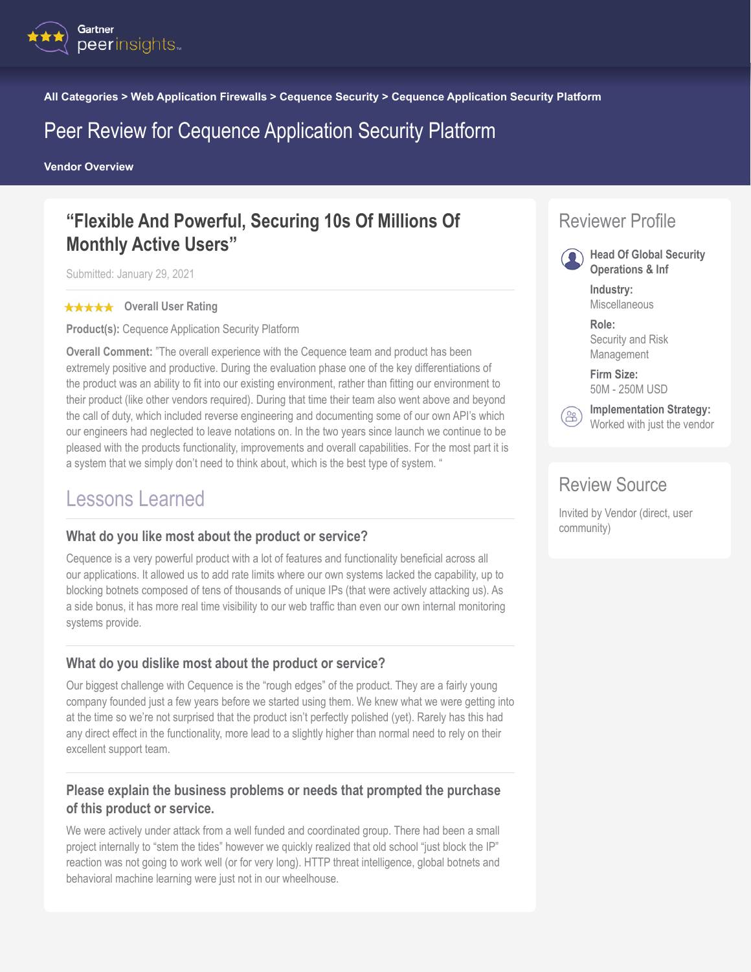

**All Categories > Web Application Firewalls > Cequence Security > Cequence Application Security Platform**

## Peer Review for Cequence Application Security Platform

**Vendor Overview**

## **"Flexible And Powerful, Securing 10s Of Millions Of Monthly Active Users"**

Submitted: January 29, 2021

#### **★★★★★** Overall User Rating

**Product(s):** Cequence Application Security Platform

**Overall Comment:** "The overall experience with the Cequence team and product has been extremely positive and productive. During the evaluation phase one of the key differentiations of the product was an ability to fit into our existing environment, rather than fitting our environment to their product (like other vendors required). During that time their team also went above and beyond the call of duty, which included reverse engineering and documenting some of our own API's which our engineers had neglected to leave notations on. In the two years since launch we continue to be pleased with the products functionality, improvements and overall capabilities. For the most part it is a system that we simply don't need to think about, which is the best type of system. "

### Lessons Learned

#### **What do you like most about the product or service?**

Cequence is a very powerful product with a lot of features and functionality beneficial across all our applications. It allowed us to add rate limits where our own systems lacked the capability, up to blocking botnets composed of tens of thousands of unique IPs (that were actively attacking us). As a side bonus, it has more real time visibility to our web traffic than even our own internal monitoring systems provide.

#### **What do you dislike most about the product or service?**

Our biggest challenge with Cequence is the "rough edges" of the product. They are a fairly young company founded just a few years before we started using them. We knew what we were getting into at the time so we're not surprised that the product isn't perfectly polished (yet). Rarely has this had any direct effect in the functionality, more lead to a slightly higher than normal need to rely on their excellent support team.

### **Please explain the business problems or needs that prompted the purchase of this product or service.**

We were actively under attack from a well funded and coordinated group. There had been a small project internally to "stem the tides" however we quickly realized that old school "just block the IP" reaction was not going to work well (or for very long). HTTP threat intelligence, global botnets and behavioral machine learning were just not in our wheelhouse.

## Reviewer Profile

**Head Of Global Security Operations & Inf**

> **Industry:** Miscellaneous

**Role:** Security and Risk Management

**Firm Size:** 50M - 250M USD



**Implementation Strategy:** Worked with just the vendor

### Review Source

Invited by Vendor (direct, user community)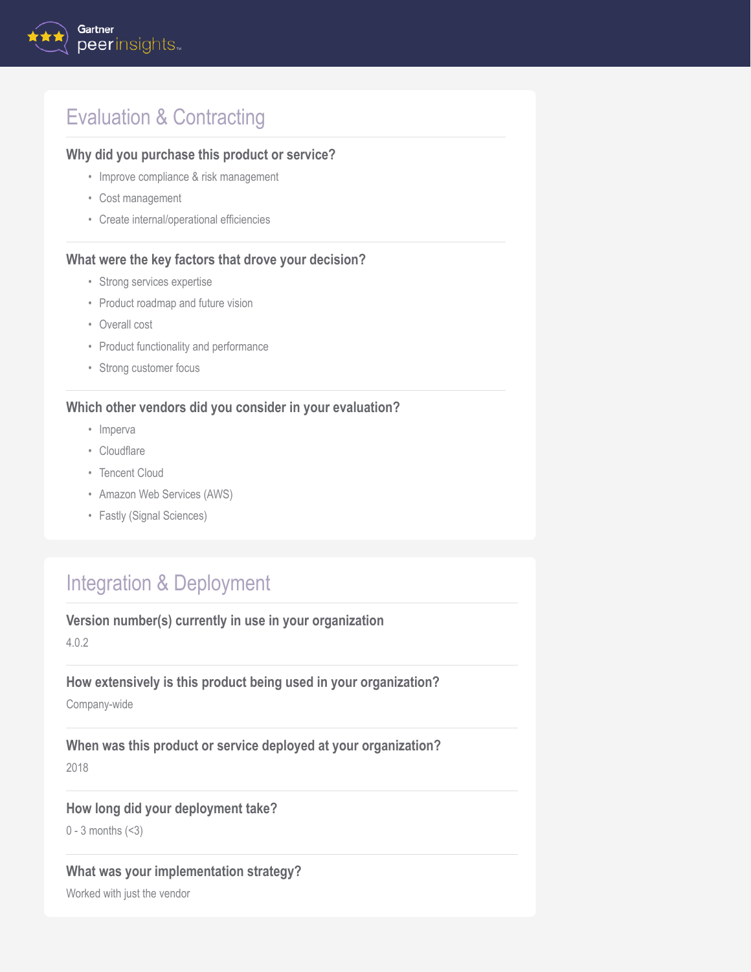# Evaluation & Contracting

### **Why did you purchase this product or service?**

- Improve compliance & risk management
- Cost management
- Create internal/operational efficiencies

#### **What were the key factors that drove your decision?**

- Strong services expertise
- Product roadmap and future vision
- Overall cost
- Product functionality and performance
- Strong customer focus

#### **Which other vendors did you consider in your evaluation?**

- Imperva
- Cloudflare
- Tencent Cloud
- Amazon Web Services (AWS)
- Fastly (Signal Sciences)

# Integration & Deployment

#### **Version number(s) currently in use in your organization**

4.0.2

### **How extensively is this product being used in your organization?**

Company-wide

**When was this product or service deployed at your organization?** 2018

### **How long did your deployment take?**

0 - 3 months (<3)

### **What was your implementation strategy?**

Worked with just the vendor